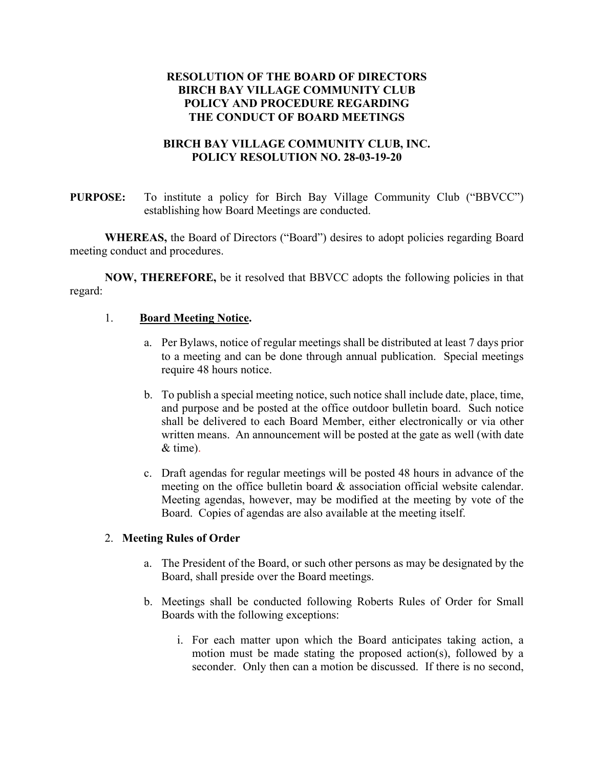# **RESOLUTION OF THE BOARD OF DIRECTORS BIRCH BAY VILLAGE COMMUNITY CLUB POLICY AND PROCEDURE REGARDING THE CONDUCT OF BOARD MEETINGS**

## **BIRCH BAY VILLAGE COMMUNITY CLUB, INC. POLICY RESOLUTION NO. 28-03-19-20**

**PURPOSE:** To institute a policy for Birch Bay Village Community Club ("BBVCC") establishing how Board Meetings are conducted.

**WHEREAS,** the Board of Directors ("Board") desires to adopt policies regarding Board meeting conduct and procedures.

**NOW, THEREFORE,** be it resolved that BBVCC adopts the following policies in that regard:

## 1. **Board Meeting Notice.**

- a. Per Bylaws, notice of regular meetings shall be distributed at least 7 days prior to a meeting and can be done through annual publication. Special meetings require 48 hours notice.
- b. To publish a special meeting notice, such notice shall include date, place, time, and purpose and be posted at the office outdoor bulletin board. Such notice shall be delivered to each Board Member, either electronically or via other written means. An announcement will be posted at the gate as well (with date & time).
- c. Draft agendas for regular meetings will be posted 48 hours in advance of the meeting on the office bulletin board & association official website calendar. Meeting agendas, however, may be modified at the meeting by vote of the Board. Copies of agendas are also available at the meeting itself.

#### 2. **Meeting Rules of Order**

- a. The President of the Board, or such other persons as may be designated by the Board, shall preside over the Board meetings.
- b. Meetings shall be conducted following Roberts Rules of Order for Small Boards with the following exceptions:
	- i. For each matter upon which the Board anticipates taking action, a motion must be made stating the proposed action(s), followed by a seconder. Only then can a motion be discussed. If there is no second,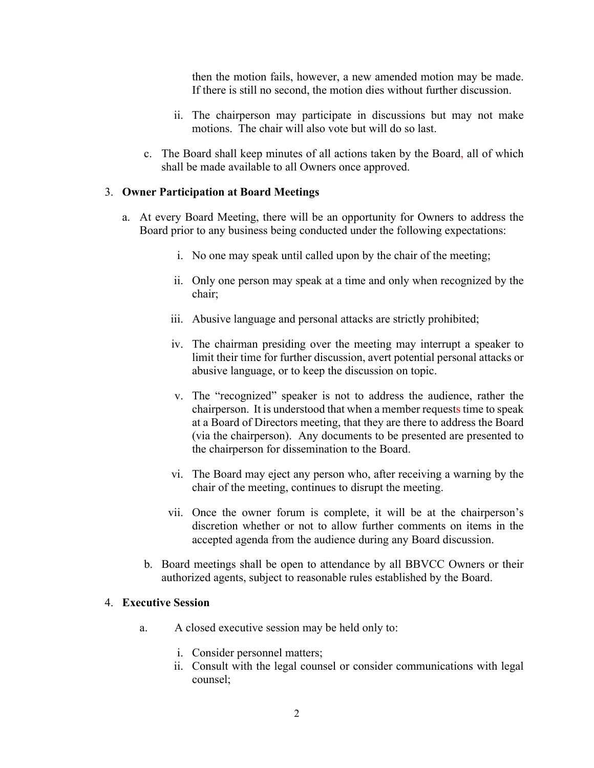then the motion fails, however, a new amended motion may be made. If there is still no second, the motion dies without further discussion.

- ii. The chairperson may participate in discussions but may not make motions. The chair will also vote but will do so last.
- c. The Board shall keep minutes of all actions taken by the Board, all of which shall be made available to all Owners once approved.

#### 3. **Owner Participation at Board Meetings**

- a. At every Board Meeting, there will be an opportunity for Owners to address the Board prior to any business being conducted under the following expectations:
	- i. No one may speak until called upon by the chair of the meeting;
	- ii. Only one person may speak at a time and only when recognized by the chair;
	- iii. Abusive language and personal attacks are strictly prohibited;
	- iv. The chairman presiding over the meeting may interrupt a speaker to limit their time for further discussion, avert potential personal attacks or abusive language, or to keep the discussion on topic.
	- v. The "recognized" speaker is not to address the audience, rather the chairperson. It is understood that when a member requests time to speak at a Board of Directors meeting, that they are there to address the Board (via the chairperson). Any documents to be presented are presented to the chairperson for dissemination to the Board.
	- vi. The Board may eject any person who, after receiving a warning by the chair of the meeting, continues to disrupt the meeting.
	- vii. Once the owner forum is complete, it will be at the chairperson's discretion whether or not to allow further comments on items in the accepted agenda from the audience during any Board discussion.
	- b. Board meetings shall be open to attendance by all BBVCC Owners or their authorized agents, subject to reasonable rules established by the Board.

#### 4. **Executive Session**

- a. A closed executive session may be held only to:
	- i. Consider personnel matters;
	- ii. Consult with the legal counsel or consider communications with legal counsel;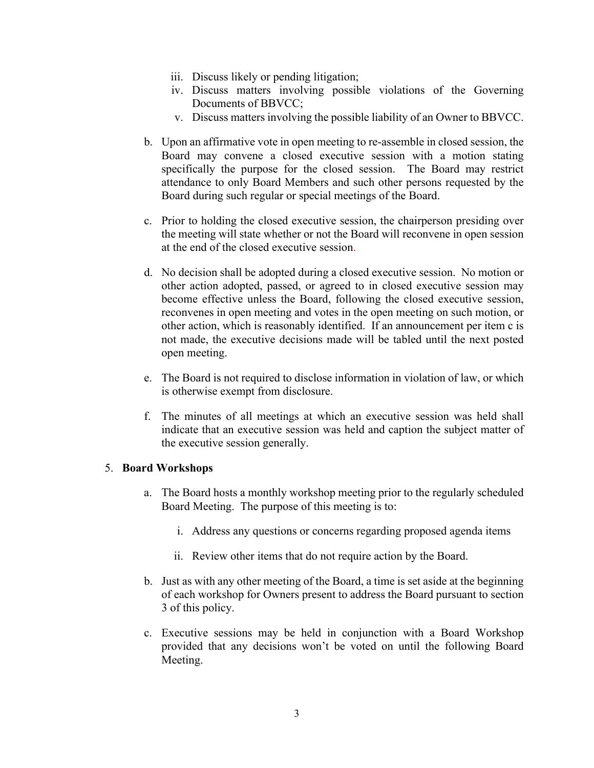- iii. Discuss likely or pending litigation;
- iv. Discuss matters involving possible violations of the Governing Documents of BBVCC;
- v. Discuss matters involving the possible liability of an Owner to BBVCC.
- b. Upon an affirmative vote in open meeting to re-assemble in closed session, the Board may convene a closed executive session with a motion stating specifically the purpose for the closed session. The Board may restrict attendance to only Board Members and such other persons requested by the Board during such regular or special meetings of the Board.
- c. Prior to holding the closed executive session, the chairperson presiding over the meeting will state whether or not the Board will reconvene in open session at the end of the closed executive session.
- d. No decision shall be adopted during a closed executive session. No motion or other action adopted, passed, or agreed to in closed executive session may become effective unless the Board, following the closed executive session, reconvenes in open meeting and votes in the open meeting on such motion, or other action, which is reasonably identified. If an announcement per item c is not made, the executive decisions made will be tabled until the next posted open meeting.
- e. The Board is not required to disclose information in violation of law, or which is otherwise exempt from disclosure.
- f. The minutes of all meetings at which an executive session was held shall indicate that an executive session was held and caption the subject matter of the executive session generally.

## 5. **Board Workshops**

- a. The Board hosts a monthly workshop meeting prior to the regularly scheduled Board Meeting. The purpose of this meeting is to:
	- i. Address any questions or concerns regarding proposed agenda items
	- ii. Review other items that do not require action by the Board.
- b. Just as with any other meeting of the Board, a time is set aside at the beginning of each workshop for Owners present to address the Board pursuant to section 3 of this policy.
- c. Executive sessions may be held in conjunction with a Board Workshop provided that any decisions won't be voted on until the following Board Meeting.